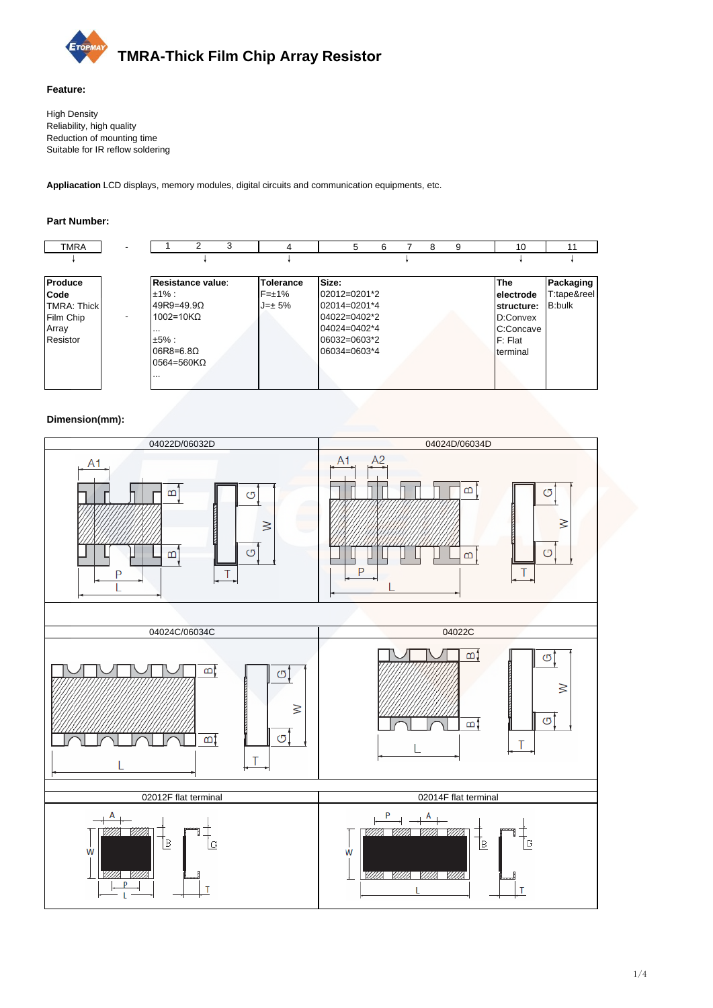

#### **Feature:**

High Density Reliability, high quality Reduction of mounting time Suitable for IR reflow soldering

Appliacation LCD displays, memory modules, digital circuits and communication equipments, etc.

#### **Part Number:**



### **Dimension(mm):**

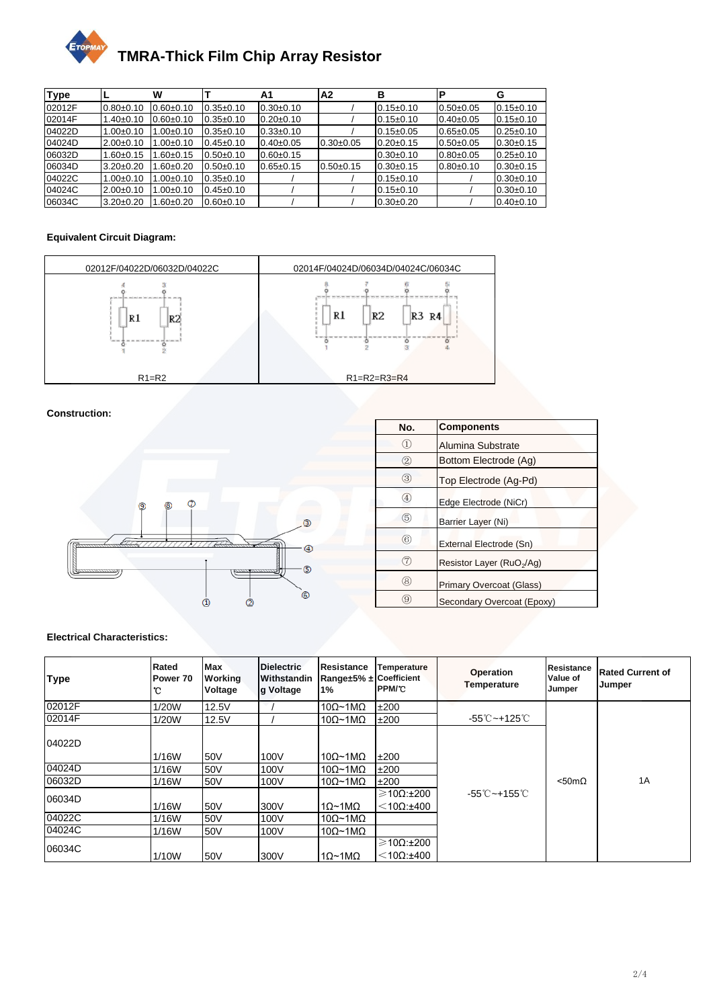

| <b>Type</b> |                 | w              |                 | A1              | A2          | в               | Р               | G               |
|-------------|-----------------|----------------|-----------------|-----------------|-------------|-----------------|-----------------|-----------------|
| 02012F      | $0.80 + 0.10$   | $0.60 + 0.10$  | $0.35+0.10$     | $0.30+0.10$     |             | $0.15 \pm 0.10$ | $0.50 + 0.05$   | $0.15 \pm 0.10$ |
| 02014F      | $1.40 + 0.10$   | $0.60 + 0.10$  | $0.35 + 0.10$   | $0.20 + 0.10$   |             | $0.15 \pm 0.10$ | $0.40 \pm 0.05$ | $0.15 \pm 0.10$ |
| 04022D      | $1.00 + 0.10$   | 00±0.10. ا     | $0.35 + 0.10$   | $0.33 + 0.10$   |             | $0.15 \pm 0.05$ | $0.65 \pm 0.05$ | $0.25 \pm 0.10$ |
| 04024D      | $2.00+0.10$     | 1.00±0.10      | $0.45 \pm 0.10$ | $0.40 \pm 0.05$ | $0.30+0.05$ | $0.20 + 0.15$   | $0.50 + 0.05$   | $0.30 \pm 0.15$ |
| 06032D      | $1.60 + 0.15$   | $.60{\pm}0.15$ | $0.50 + 0.10$   | $0.60 \pm 0.15$ |             | $0.30+0.10$     | $0.80 + 0.05$   | $0.25 \pm 0.10$ |
| 06034D      | $3.20 \pm 0.20$ | $.60{\pm}0.20$ | $0.50 + 0.10$   | $0.65 \pm 0.15$ | $0.50+0.15$ | $0.30+0.15$     | $0.80 + 0.10$   | $0.30+0.15$     |
| 04022C      | $1.00 + 0.10$   | $1.00+0.10$    | $0.35+0.10$     |                 |             | $0.15 \pm 0.10$ |                 | $0.30+0.10$     |
| 04024C      | $2.00+0.10$     | $.00 + 0.10$   | $0.45 \pm 0.10$ |                 |             | $0.15 \pm 0.10$ |                 | $0.30+0.10$     |
| 06034C      | $3.20 \pm 0.20$ | $.60 \pm 0.20$ | $0.60 + 0.10$   |                 |             | $0.30+0.20$     |                 | $0.40 \pm 0.10$ |

## **Equivalent Circuit Diagram:**



## **Construction:**



| No.               | <b>Components</b>                     |  |
|-------------------|---------------------------------------|--|
|                   | Alumina Substrate                     |  |
| 2                 | Bottom Electrode (Ag)                 |  |
| ③                 | Top Electrode (Ag-Pd)                 |  |
| $\left( 4\right)$ | Edge Electrode (NiCr)                 |  |
| (5)               | Barrier Layer (Ni)                    |  |
| 6                 | External Electrode (Sn)               |  |
| 7)                | Resistor Layer (RuO <sub>2</sub> /Ag) |  |
| (8)               | <b>Primary Overcoat (Glass)</b>       |  |
| 9)                | Secondary Overcoat (Epoxy)            |  |

### **Electrical Characteristics:**

| <b>Type</b> | Rated<br>Power 70<br>°C | <b>Max</b><br><b>Working</b><br>Voltage | <b>Dielectric</b><br><b>Withstandin</b><br>g Voltage | Resistance<br>Range±5% ± Coefficient<br>$1\%$ | Temperature<br><b>PPM/C</b>          | <b>Operation</b><br><b>Temperature</b> | <b>Resistance</b><br>Value of<br>Jumper | <b>Rated Current of</b><br>Jumper |
|-------------|-------------------------|-----------------------------------------|------------------------------------------------------|-----------------------------------------------|--------------------------------------|----------------------------------------|-----------------------------------------|-----------------------------------|
| 02012F      | 1/20W                   | 12.5V                                   |                                                      | $10\Omega$ ~1M $\Omega$                       | ±200                                 |                                        |                                         |                                   |
| 02014F      | 1/20W                   | 12.5V                                   |                                                      | $10\Omega$ ~1M $\Omega$                       | ±200                                 | -55℃~+125℃                             |                                         |                                   |
| 04022D      | 1/16W                   | 50V                                     | 100V                                                 | $10\Omega$ ~1M $\Omega$                       | ±200                                 |                                        |                                         |                                   |
| 04024D      | 1/16W                   | 50V                                     | 100V                                                 | $10\Omega$ ~1M $\Omega$                       | ±200                                 |                                        |                                         |                                   |
| 06032D      | 1/16W                   | 50V                                     | 100V                                                 | $10\Omega$ ~1M $\Omega$                       | ±200                                 |                                        | $< 50 \text{m}\Omega$                   | 1A                                |
| 06034D      | 1/16W                   | 50V                                     | 300V                                                 | $1\Omega$ ~1M $\Omega$                        | $\geqslant$ 10Ω:±200<br>$<$ 10Ω:±400 | $-55^{\circ}$ C ~ +155 $^{\circ}$ C    |                                         |                                   |
| 04022C      | 1/16W                   | 50V                                     | 100V                                                 | $10\Omega$ ~1M $\Omega$                       |                                      |                                        |                                         |                                   |
| 04024C      | 1/16W                   | 50V                                     | 100V                                                 | $10\Omega \sim 1 \text{M}\Omega$              |                                      |                                        |                                         |                                   |
| 06034C      | 1/10W                   | 50V                                     | 300V                                                 | $1\Omega$ ~1M $\Omega$                        | $\geqslant$ 10Ω:±200<br>$<$ 10Ω:±400 |                                        |                                         |                                   |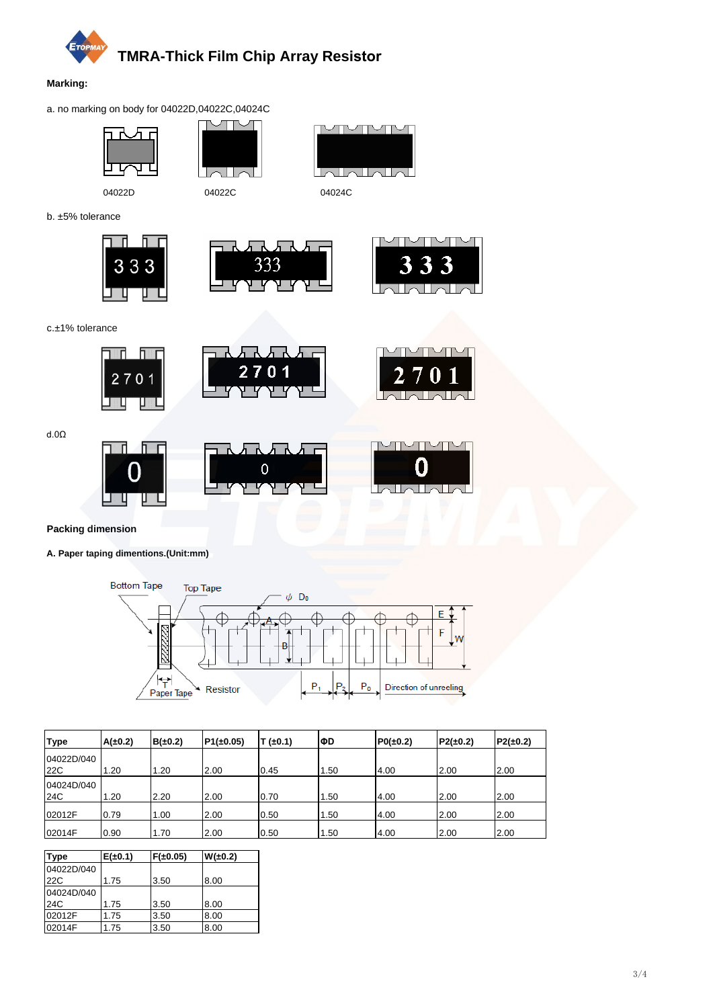

#### **Marking:**

a. no marking on body for 04022D,04022C,04024C







b. ±5% tolerance







J.

c.±1% tolerance



d.0Ω



**Packing dimension**

## **A. Paper taping dimentions.(Unit:mm)**



| <b>Type</b> | A(±0.2) | $B(\pm 0.2)$ | $P1(\pm 0.05)$ | $(-0.1)$ | lΦD  | $PO(\pm 0.2)$ | $P2(\pm 0.2)$ | $P2(\pm 0.2)$ |
|-------------|---------|--------------|----------------|----------|------|---------------|---------------|---------------|
| 04022D/040  |         |              |                |          |      |               |               |               |
| <b>22C</b>  | .20     | .20          | 2.00           | 0.45     | 1.50 | 4.00          | 2.00          | 2.00          |
| 04024D/040  |         |              |                |          |      |               |               |               |
| 24C         | .20     | 2.20         | 2.00           | 0.70     | 1.50 | 4.00          | 2.00          | 2.00          |
| 02012F      | 0.79    | .00          | 2.00           | 0.50     | 1.50 | 4.00          | 2.00          | 2.00          |
| 02014F      | 0.90    | 1.70         | 2.00           | 0.50     | 1.50 | 4.00          | 2.00          | 2.00          |

| <b>Type</b> | $E(\pm 0.1)$ | $F(\pm 0.05)$ | $W(\pm 0.2)$ |
|-------------|--------------|---------------|--------------|
| 04022D/040  |              |               |              |
| 22C         | 1.75         | 3.50          | 8.00         |
| 04024D/040  |              |               |              |
| 24C         | 1.75         | 3.50          | 8.00         |
| 02012F      | 1.75         | 3.50          | 8.00         |
| 02014F      | 1.75         | 3.50          | 8.00         |